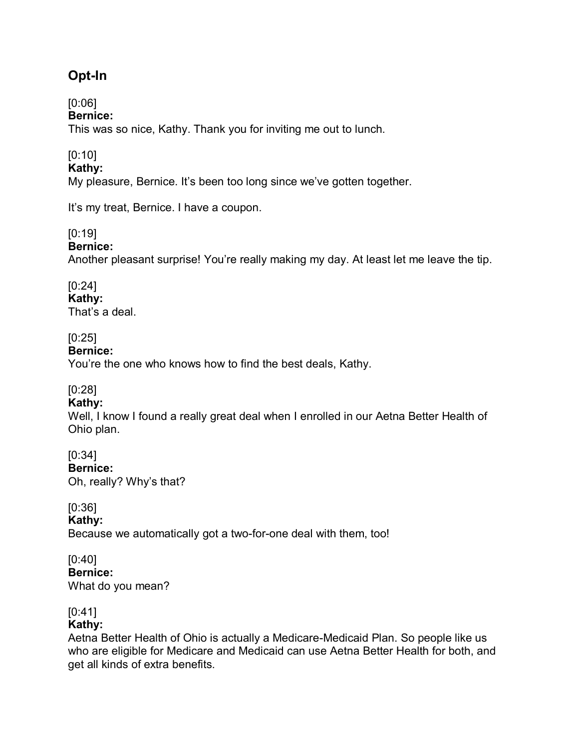# **Opt-In**

# [0:06]

## **Bernice:**

This was so nice, Kathy. Thank you for inviting me out to lunch.

# [0:10]

#### **Kathy:**

My pleasure, Bernice. It's been too long since we've gotten together.

It's my treat, Bernice. I have a coupon.

## [0:19]

#### **Bernice:**

Another pleasant surprise! You're really making my day. At least let me leave the tip.

# [0:24]

**Kathy:** 

That's a deal.

## [0:25]

#### **Bernice:**

You're the one who knows how to find the best deals, Kathy.

## [0:28]

## **Kathy:**

Well, I know I found a really great deal when I enrolled in our Aetna Better Health of Ohio plan.

## [0:34]

**Bernice:** 

Oh, really? Why's that?

## [0:36]

**Kathy:**

Because we automatically got a two-for-one deal with them, too!

## [0:40]

**Bernice:**  What do you mean?

## [0:41]

## **Kathy:**

Aetna Better Health of Ohio is actually a Medicare-Medicaid Plan. So people like us who are eligible for Medicare and Medicaid can use Aetna Better Health for both, and get all kinds of extra benefits.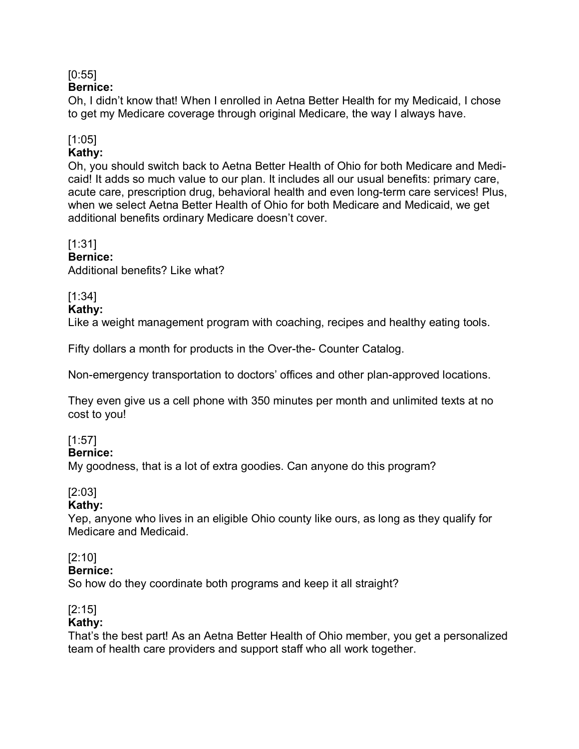## [0:55]

## **Bernice:**

Oh, I didn't know that! When I enrolled in Aetna Better Health for my Medicaid, I chose to get my Medicare coverage through original Medicare, the way I always have.

## [1:05]

#### **Kathy:**

Oh, you should switch back to Aetna Better Health of Ohio for both Medicare and Medicaid! It adds so much value to our plan. It includes all our usual benefits: primary care, acute care, prescription drug, behavioral health and even long-term care services! Plus, when we select Aetna Better Health of Ohio for both Medicare and Medicaid, we get additional benefits ordinary Medicare doesn't cover.

## [1:31]

#### **Bernice:**

Additional benefits? Like what?

## [1:34]

#### **Kathy:**

Like a weight management program with coaching, recipes and healthy eating tools.

Fifty dollars a month for products in the Over-the- Counter Catalog.

Non-emergency transportation to doctors' offices and other plan-approved locations.

They even give us a cell phone with 350 minutes per month and unlimited texts at no cost to you!

## [1:57]

#### **Bernice:**

My goodness, that is a lot of extra goodies. Can anyone do this program?

## [2:03]

## **Kathy:**

Yep, anyone who lives in an eligible Ohio county like ours, as long as they qualify for Medicare and Medicaid.

## [2:10]

#### **Bernice:**

So how do they coordinate both programs and keep it all straight?

## [2:15]

#### **Kathy:**

That's the best part! As an Aetna Better Health of Ohio member, you get a personalized team of health care providers and support staff who all work together.